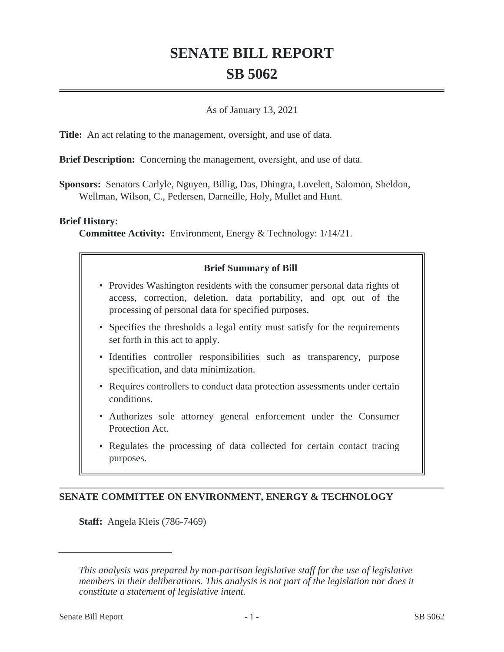# **SENATE BILL REPORT SB 5062**

### As of January 13, 2021

**Title:** An act relating to the management, oversight, and use of data.

**Brief Description:** Concerning the management, oversight, and use of data.

**Sponsors:** Senators Carlyle, Nguyen, Billig, Das, Dhingra, Lovelett, Salomon, Sheldon, Wellman, Wilson, C., Pedersen, Darneille, Holy, Mullet and Hunt.

#### **Brief History:**

**Committee Activity:** Environment, Energy & Technology: 1/14/21.

## **Brief Summary of Bill**

- Provides Washington residents with the consumer personal data rights of access, correction, deletion, data portability, and opt out of the processing of personal data for specified purposes.
- Specifies the thresholds a legal entity must satisfy for the requirements set forth in this act to apply.
- Identifies controller responsibilities such as transparency, purpose specification, and data minimization.
- Requires controllers to conduct data protection assessments under certain conditions.
- Authorizes sole attorney general enforcement under the Consumer Protection Act.
- Regulates the processing of data collected for certain contact tracing purposes.

## **SENATE COMMITTEE ON ENVIRONMENT, ENERGY & TECHNOLOGY**

**Staff:** Angela Kleis (786-7469)

*This analysis was prepared by non-partisan legislative staff for the use of legislative members in their deliberations. This analysis is not part of the legislation nor does it constitute a statement of legislative intent.*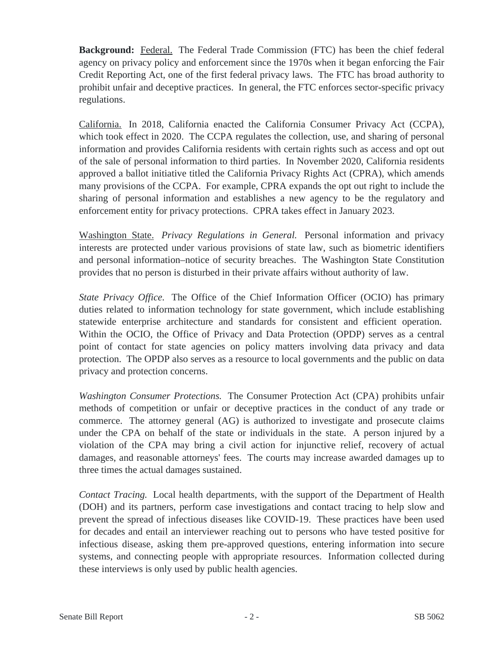**Background:** Federal. The Federal Trade Commission (FTC) has been the chief federal agency on privacy policy and enforcement since the 1970s when it began enforcing the Fair Credit Reporting Act, one of the first federal privacy laws. The FTC has broad authority to prohibit unfair and deceptive practices. In general, the FTC enforces sector-specific privacy regulations.

California. In 2018, California enacted the California Consumer Privacy Act (CCPA), which took effect in 2020. The CCPA regulates the collection, use, and sharing of personal information and provides California residents with certain rights such as access and opt out of the sale of personal information to third parties. In November 2020, California residents approved a ballot initiative titled the California Privacy Rights Act (CPRA), which amends many provisions of the CCPA. For example, CPRA expands the opt out right to include the sharing of personal information and establishes a new agency to be the regulatory and enforcement entity for privacy protections. CPRA takes effect in January 2023.

Washington State. *Privacy Regulations in General.* Personal information and privacy interests are protected under various provisions of state law, such as biometric identifiers and personal information–notice of security breaches. The Washington State Constitution provides that no person is disturbed in their private affairs without authority of law.

*State Privacy Office.* The Office of the Chief Information Officer (OCIO) has primary duties related to information technology for state government, which include establishing statewide enterprise architecture and standards for consistent and efficient operation. Within the OCIO, the Office of Privacy and Data Protection (OPDP) serves as a central point of contact for state agencies on policy matters involving data privacy and data protection. The OPDP also serves as a resource to local governments and the public on data privacy and protection concerns.

*Washington Consumer Protections.* The Consumer Protection Act (CPA) prohibits unfair methods of competition or unfair or deceptive practices in the conduct of any trade or commerce. The attorney general (AG) is authorized to investigate and prosecute claims under the CPA on behalf of the state or individuals in the state. A person injured by a violation of the CPA may bring a civil action for injunctive relief, recovery of actual damages, and reasonable attorneys' fees. The courts may increase awarded damages up to three times the actual damages sustained.

*Contact Tracing.* Local health departments, with the support of the Department of Health (DOH) and its partners, perform case investigations and contact tracing to help slow and prevent the spread of infectious diseases like COVID-19. These practices have been used for decades and entail an interviewer reaching out to persons who have tested positive for infectious disease, asking them pre-approved questions, entering information into secure systems, and connecting people with appropriate resources. Information collected during these interviews is only used by public health agencies.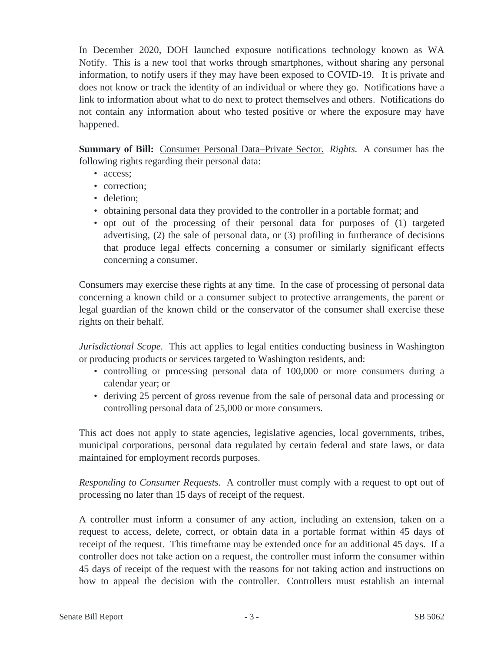In December 2020, DOH launched exposure notifications technology known as WA Notify. This is a new tool that works through smartphones, without sharing any personal information, to notify users if they may have been exposed to COVID-19. It is private and does not know or track the identity of an individual or where they go. Notifications have a link to information about what to do next to protect themselves and others. Notifications do not contain any information about who tested positive or where the exposure may have happened.

**Summary of Bill:** Consumer Personal Data–Private Sector. *Rights.* A consumer has the following rights regarding their personal data:

- access:
- correction;
- deletion:
- obtaining personal data they provided to the controller in a portable format; and
- opt out of the processing of their personal data for purposes of (1) targeted advertising, (2) the sale of personal data, or (3) profiling in furtherance of decisions that produce legal effects concerning a consumer or similarly significant effects concerning a consumer.

Consumers may exercise these rights at any time. In the case of processing of personal data concerning a known child or a consumer subject to protective arrangements, the parent or legal guardian of the known child or the conservator of the consumer shall exercise these rights on their behalf.

*Jurisdictional Scope.* This act applies to legal entities conducting business in Washington or producing products or services targeted to Washington residents, and:

- controlling or processing personal data of 100,000 or more consumers during a calendar year; or
- deriving 25 percent of gross revenue from the sale of personal data and processing or controlling personal data of 25,000 or more consumers.

This act does not apply to state agencies, legislative agencies, local governments, tribes, municipal corporations, personal data regulated by certain federal and state laws, or data maintained for employment records purposes.

*Responding to Consumer Requests.* A controller must comply with a request to opt out of processing no later than 15 days of receipt of the request.

A controller must inform a consumer of any action, including an extension, taken on a request to access, delete, correct, or obtain data in a portable format within 45 days of receipt of the request. This timeframe may be extended once for an additional 45 days. If a controller does not take action on a request, the controller must inform the consumer within 45 days of receipt of the request with the reasons for not taking action and instructions on how to appeal the decision with the controller. Controllers must establish an internal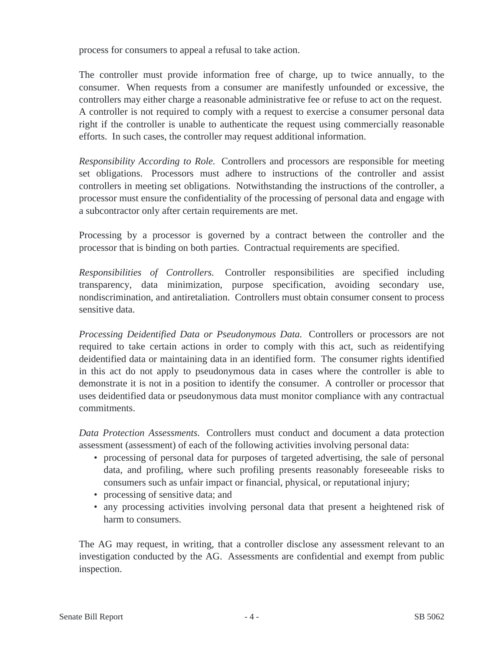process for consumers to appeal a refusal to take action.

The controller must provide information free of charge, up to twice annually, to the consumer. When requests from a consumer are manifestly unfounded or excessive, the controllers may either charge a reasonable administrative fee or refuse to act on the request. A controller is not required to comply with a request to exercise a consumer personal data right if the controller is unable to authenticate the request using commercially reasonable efforts. In such cases, the controller may request additional information.

*Responsibility According to Role.* Controllers and processors are responsible for meeting set obligations. Processors must adhere to instructions of the controller and assist controllers in meeting set obligations. Notwithstanding the instructions of the controller, a processor must ensure the confidentiality of the processing of personal data and engage with a subcontractor only after certain requirements are met.

Processing by a processor is governed by a contract between the controller and the processor that is binding on both parties. Contractual requirements are specified.

*Responsibilities of Controllers.* Controller responsibilities are specified including transparency, data minimization, purpose specification, avoiding secondary use, nondiscrimination, and antiretaliation. Controllers must obtain consumer consent to process sensitive data.

*Processing Deidentified Data or Pseudonymous Data.* Controllers or processors are not required to take certain actions in order to comply with this act, such as reidentifying deidentified data or maintaining data in an identified form. The consumer rights identified in this act do not apply to pseudonymous data in cases where the controller is able to demonstrate it is not in a position to identify the consumer. A controller or processor that uses deidentified data or pseudonymous data must monitor compliance with any contractual commitments.

*Data Protection Assessments.* Controllers must conduct and document a data protection assessment (assessment) of each of the following activities involving personal data:

- processing of personal data for purposes of targeted advertising, the sale of personal data, and profiling, where such profiling presents reasonably foreseeable risks to consumers such as unfair impact or financial, physical, or reputational injury;
- processing of sensitive data; and
- any processing activities involving personal data that present a heightened risk of harm to consumers.

The AG may request, in writing, that a controller disclose any assessment relevant to an investigation conducted by the AG. Assessments are confidential and exempt from public inspection.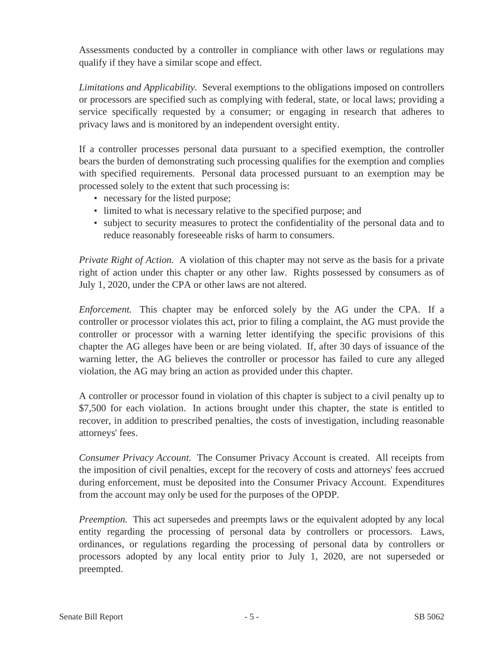Assessments conducted by a controller in compliance with other laws or regulations may qualify if they have a similar scope and effect.

*Limitations and Applicability.* Several exemptions to the obligations imposed on controllers or processors are specified such as complying with federal, state, or local laws; providing a service specifically requested by a consumer; or engaging in research that adheres to privacy laws and is monitored by an independent oversight entity.

If a controller processes personal data pursuant to a specified exemption, the controller bears the burden of demonstrating such processing qualifies for the exemption and complies with specified requirements. Personal data processed pursuant to an exemption may be processed solely to the extent that such processing is:

- necessary for the listed purpose;
- limited to what is necessary relative to the specified purpose; and
- subject to security measures to protect the confidentiality of the personal data and to reduce reasonably foreseeable risks of harm to consumers.

*Private Right of Action.* A violation of this chapter may not serve as the basis for a private right of action under this chapter or any other law. Rights possessed by consumers as of July 1, 2020, under the CPA or other laws are not altered.

*Enforcement.* This chapter may be enforced solely by the AG under the CPA. If a controller or processor violates this act, prior to filing a complaint, the AG must provide the controller or processor with a warning letter identifying the specific provisions of this chapter the AG alleges have been or are being violated. If, after 30 days of issuance of the warning letter, the AG believes the controller or processor has failed to cure any alleged violation, the AG may bring an action as provided under this chapter.

A controller or processor found in violation of this chapter is subject to a civil penalty up to \$7,500 for each violation. In actions brought under this chapter, the state is entitled to recover, in addition to prescribed penalties, the costs of investigation, including reasonable attorneys' fees.

*Consumer Privacy Account.* The Consumer Privacy Account is created. All receipts from the imposition of civil penalties, except for the recovery of costs and attorneys' fees accrued during enforcement, must be deposited into the Consumer Privacy Account. Expenditures from the account may only be used for the purposes of the OPDP.

*Preemption.* This act supersedes and preempts laws or the equivalent adopted by any local entity regarding the processing of personal data by controllers or processors. Laws, ordinances, or regulations regarding the processing of personal data by controllers or processors adopted by any local entity prior to July 1, 2020, are not superseded or preempted.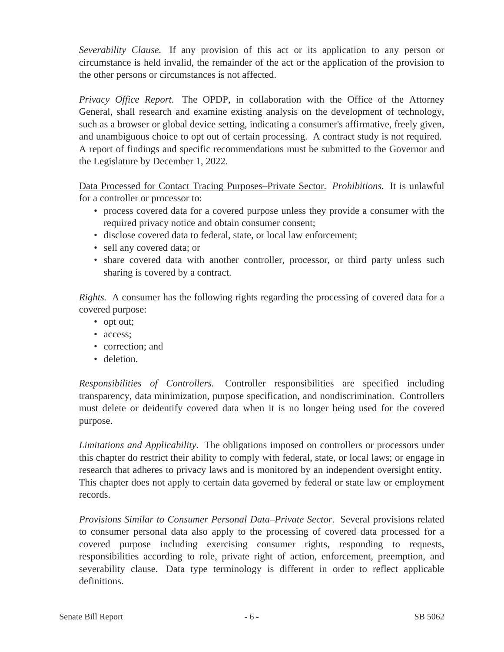*Severability Clause.* If any provision of this act or its application to any person or circumstance is held invalid, the remainder of the act or the application of the provision to the other persons or circumstances is not affected.

*Privacy Office Report.* The OPDP, in collaboration with the Office of the Attorney General, shall research and examine existing analysis on the development of technology, such as a browser or global device setting, indicating a consumer's affirmative, freely given, and unambiguous choice to opt out of certain processing. A contract study is not required. A report of findings and specific recommendations must be submitted to the Governor and the Legislature by December 1, 2022.

Data Processed for Contact Tracing Purposes–Private Sector. *Prohibitions.* It is unlawful for a controller or processor to:

- process covered data for a covered purpose unless they provide a consumer with the required privacy notice and obtain consumer consent;
- disclose covered data to federal, state, or local law enforcement;
- sell any covered data; or
- share covered data with another controller, processor, or third party unless such sharing is covered by a contract.

*Rights.* A consumer has the following rights regarding the processing of covered data for a covered purpose:

- opt out;
- access:
- correction: and
- deletion.

*Responsibilities of Controllers.* Controller responsibilities are specified including transparency, data minimization, purpose specification, and nondiscrimination. Controllers must delete or deidentify covered data when it is no longer being used for the covered purpose.

*Limitations and Applicability.* The obligations imposed on controllers or processors under this chapter do restrict their ability to comply with federal, state, or local laws; or engage in research that adheres to privacy laws and is monitored by an independent oversight entity. This chapter does not apply to certain data governed by federal or state law or employment records.

*Provisions Similar to Consumer Personal Data–Private Sector.* Several provisions related to consumer personal data also apply to the processing of covered data processed for a covered purpose including exercising consumer rights, responding to requests, responsibilities according to role, private right of action, enforcement, preemption, and severability clause. Data type terminology is different in order to reflect applicable definitions.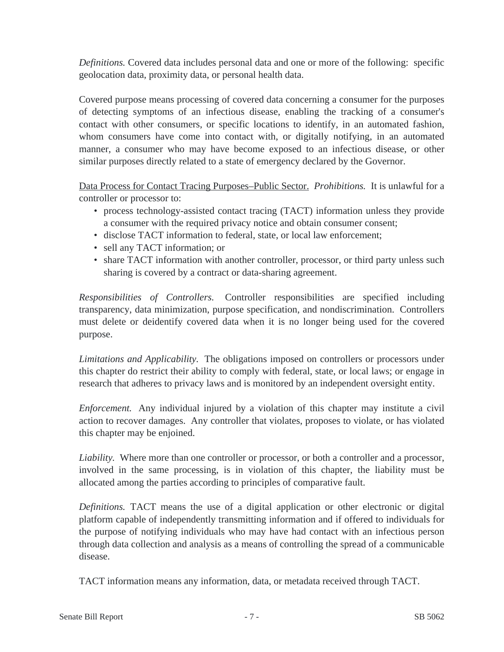*Definitions.* Covered data includes personal data and one or more of the following: specific geolocation data, proximity data, or personal health data.

Covered purpose means processing of covered data concerning a consumer for the purposes of detecting symptoms of an infectious disease, enabling the tracking of a consumer's contact with other consumers, or specific locations to identify, in an automated fashion, whom consumers have come into contact with, or digitally notifying, in an automated manner, a consumer who may have become exposed to an infectious disease, or other similar purposes directly related to a state of emergency declared by the Governor.

Data Process for Contact Tracing Purposes–Public Sector. *Prohibitions.* It is unlawful for a controller or processor to:

- process technology-assisted contact tracing (TACT) information unless they provide a consumer with the required privacy notice and obtain consumer consent;
- disclose TACT information to federal, state, or local law enforcement;
- sell any TACT information; or
- share TACT information with another controller, processor, or third party unless such sharing is covered by a contract or data-sharing agreement.

*Responsibilities of Controllers.* Controller responsibilities are specified including transparency, data minimization, purpose specification, and nondiscrimination. Controllers must delete or deidentify covered data when it is no longer being used for the covered purpose.

*Limitations and Applicability.* The obligations imposed on controllers or processors under this chapter do restrict their ability to comply with federal, state, or local laws; or engage in research that adheres to privacy laws and is monitored by an independent oversight entity.

*Enforcement.* Any individual injured by a violation of this chapter may institute a civil action to recover damages. Any controller that violates, proposes to violate, or has violated this chapter may be enjoined.

*Liability.* Where more than one controller or processor, or both a controller and a processor, involved in the same processing, is in violation of this chapter, the liability must be allocated among the parties according to principles of comparative fault.

*Definitions.* TACT means the use of a digital application or other electronic or digital platform capable of independently transmitting information and if offered to individuals for the purpose of notifying individuals who may have had contact with an infectious person through data collection and analysis as a means of controlling the spread of a communicable disease.

TACT information means any information, data, or metadata received through TACT.